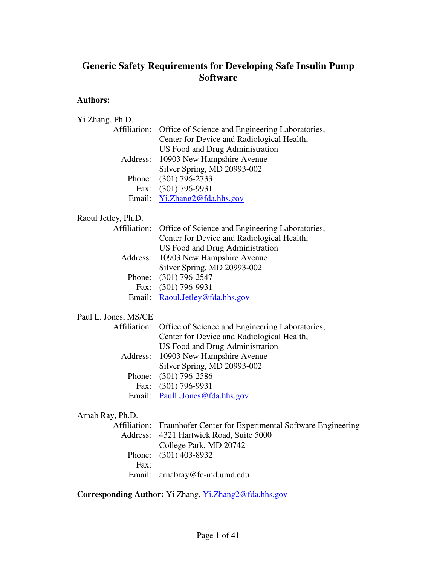# **Generic Safety Requirements for Developing Safe Insulin Pump Software**

# **Authors:**

Yi Zhang, Ph.D.

| Affiliation:         | Office of Science and Engineering Laboratories,         |
|----------------------|---------------------------------------------------------|
|                      | Center for Device and Radiological Health,              |
|                      | US Food and Drug Administration                         |
| Address:             | 10903 New Hampshire Avenue                              |
|                      | Silver Spring, MD 20993-002                             |
| Phone:               | $(301)$ 796-2733                                        |
|                      | Fax: (301) 796-9931                                     |
| Email:               | Yi.Zhang2@fda.hhs.gov                                   |
| Raoul Jetley, Ph.D.  |                                                         |
| Affiliation:         | Office of Science and Engineering Laboratories,         |
|                      | Center for Device and Radiological Health,              |
|                      | <b>US Food and Drug Administration</b>                  |
| Address:             | 10903 New Hampshire Avenue                              |
|                      | Silver Spring, MD 20993-002                             |
| Phone:               | $(301)$ 796-2547                                        |
| Fax:                 | $(301)$ 796-9931                                        |
| Email:               | Raoul.Jetley@fda.hhs.gov                                |
| Paul L. Jones, MS/CE |                                                         |
| Affiliation:         | Office of Science and Engineering Laboratories,         |
|                      | Center for Device and Radiological Health,              |
|                      | US Food and Drug Administration                         |
| Address:             | 10903 New Hampshire Avenue                              |
|                      | Silver Spring, MD 20993-002                             |
| Phone:               | $(301)$ 796-2586                                        |
|                      | Fax: (301) 796-9931                                     |
|                      |                                                         |
|                      | Email: PaulL.Jones@fda.hhs.gov                          |
| Arnab Ray, Ph.D.     |                                                         |
| Affiliation:         | Fraunhofer Center for Experimental Software Engineering |
| Address:             | 4321 Hartwick Road, Suite 5000                          |
|                      | College Park, MD 20742                                  |
| Phone:               | $(301)$ 403-8932                                        |
| Fax:<br>Email:       | arnabray@fc-md.umd.edu                                  |

**Corresponding Author:** Yi Zhang, Yi.Zhang2@fda.hhs.gov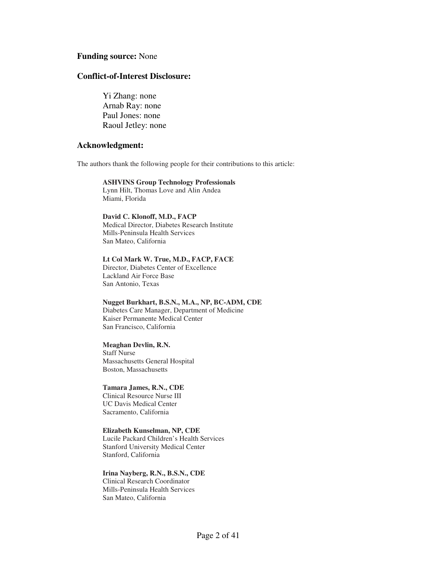#### **Funding source:** None

### **Conflict-of-Interest Disclosure:**

Yi Zhang: none Arnab Ray: none Paul Jones: none Raoul Jetley: none

#### **Acknowledgment:**

The authors thank the following people for their contributions to this article:

#### **ASHVINS Group Technology Professionals**

Lynn Hilt, Thomas Love and Alin Andea Miami, Florida

#### **David C. Klonoff, M.D., FACP**

Medical Director, Diabetes Research Institute Mills-Peninsula Health Services San Mateo, California

#### **Lt Col Mark W. True, M.D., FACP, FACE**

Director, Diabetes Center of Excellence Lackland Air Force Base San Antonio, Texas

# **Nugget Burkhart, B.S.N., M.A., NP, BC-ADM, CDE** Diabetes Care Manager, Department of Medicine

Kaiser Permanente Medical Center San Francisco, California

#### **Meaghan Devlin, R.N.**

Staff Nurse Massachusetts General Hospital Boston, Massachusetts

#### **Tamara James, R.N., CDE**

Clinical Resource Nurse III UC Davis Medical Center Sacramento, California

#### **Elizabeth Kunselman, NP, CDE**

Lucile Packard Children's Health Services Stanford University Medical Center Stanford, California

#### **Irina Nayberg, R.N., B.S.N., CDE**

Clinical Research Coordinator Mills-Peninsula Health Services San Mateo, California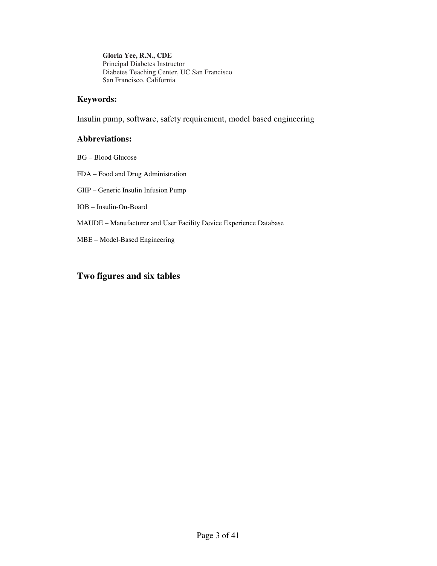**Gloria Yee, R.N., CDE** Principal Diabetes Instructor Diabetes Teaching Center, UC San Francisco San Francisco, California

## **Keywords:**

Insulin pump, software, safety requirement, model based engineering

## **Abbreviations:**

- BG Blood Glucose
- FDA Food and Drug Administration
- GIIP Generic Insulin Infusion Pump
- IOB Insulin-On-Board
- MAUDE Manufacturer and User Facility Device Experience Database
- MBE Model-Based Engineering

# **Two figures and six tables**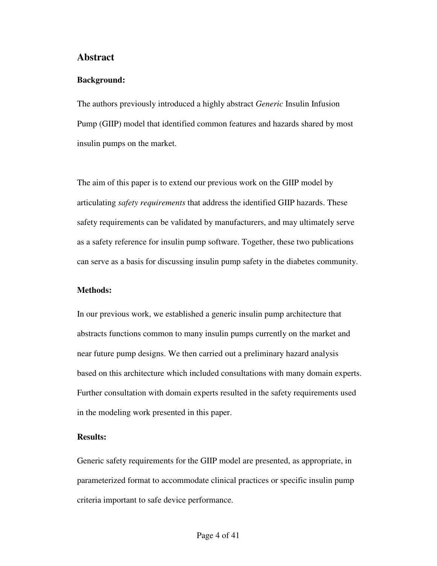## **Abstract**

### **Background:**

The authors previously introduced a highly abstract *Generic* Insulin Infusion Pump (GIIP) model that identified common features and hazards shared by most insulin pumps on the market.

The aim of this paper is to extend our previous work on the GIIP model by articulating *safety requirements* that address the identified GIIP hazards. These safety requirements can be validated by manufacturers, and may ultimately serve as a safety reference for insulin pump software. Together, these two publications can serve as a basis for discussing insulin pump safety in the diabetes community.

### **Methods:**

In our previous work, we established a generic insulin pump architecture that abstracts functions common to many insulin pumps currently on the market and near future pump designs. We then carried out a preliminary hazard analysis based on this architecture which included consultations with many domain experts. Further consultation with domain experts resulted in the safety requirements used in the modeling work presented in this paper.

## **Results:**

Generic safety requirements for the GIIP model are presented, as appropriate, in parameterized format to accommodate clinical practices or specific insulin pump criteria important to safe device performance.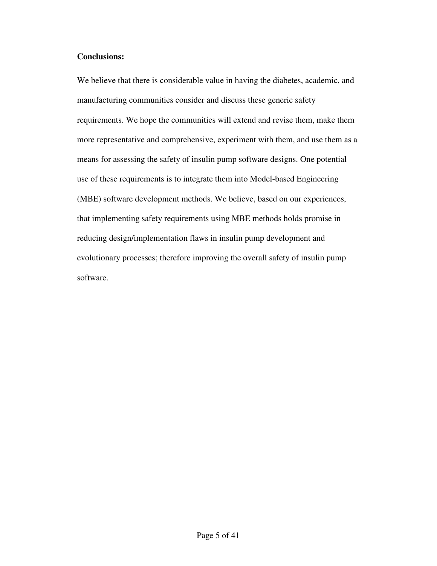## **Conclusions:**

We believe that there is considerable value in having the diabetes, academic, and manufacturing communities consider and discuss these generic safety requirements. We hope the communities will extend and revise them, make them more representative and comprehensive, experiment with them, and use them as a means for assessing the safety of insulin pump software designs. One potential use of these requirements is to integrate them into Model-based Engineering (MBE) software development methods. We believe, based on our experiences, that implementing safety requirements using MBE methods holds promise in reducing design/implementation flaws in insulin pump development and evolutionary processes; therefore improving the overall safety of insulin pump software.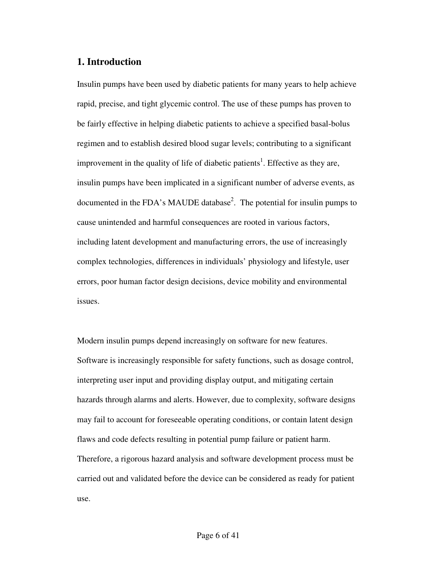# **1. Introduction**

Insulin pumps have been used by diabetic patients for many years to help achieve rapid, precise, and tight glycemic control. The use of these pumps has proven to be fairly effective in helping diabetic patients to achieve a specified basal-bolus regimen and to establish desired blood sugar levels; contributing to a significant improvement in the quality of life of diabetic patients<sup>1</sup>. Effective as they are, insulin pumps have been implicated in a significant number of adverse events, as documented in the FDA's MAUDE database<sup>2</sup>. The potential for insulin pumps to cause unintended and harmful consequences are rooted in various factors, including latent development and manufacturing errors, the use of increasingly complex technologies, differences in individuals' physiology and lifestyle, user errors, poor human factor design decisions, device mobility and environmental issues.

Modern insulin pumps depend increasingly on software for new features. Software is increasingly responsible for safety functions, such as dosage control, interpreting user input and providing display output, and mitigating certain hazards through alarms and alerts. However, due to complexity, software designs may fail to account for foreseeable operating conditions, or contain latent design flaws and code defects resulting in potential pump failure or patient harm. Therefore, a rigorous hazard analysis and software development process must be carried out and validated before the device can be considered as ready for patient use.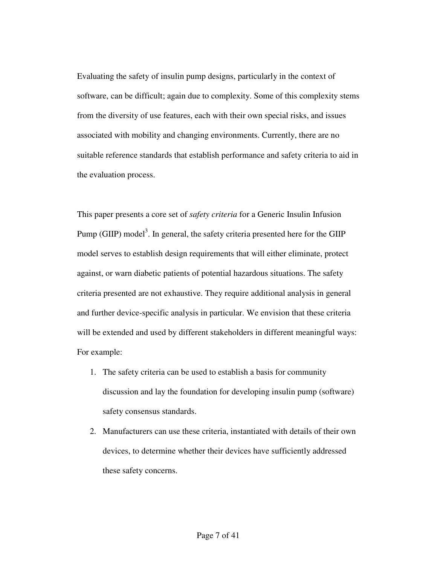Evaluating the safety of insulin pump designs, particularly in the context of software, can be difficult; again due to complexity. Some of this complexity stems from the diversity of use features, each with their own special risks, and issues associated with mobility and changing environments. Currently, there are no suitable reference standards that establish performance and safety criteria to aid in the evaluation process.

This paper presents a core set of *safety criteria* for a Generic Insulin Infusion Pump (GIIP) model<sup>3</sup>. In general, the safety criteria presented here for the GIIP model serves to establish design requirements that will either eliminate, protect against, or warn diabetic patients of potential hazardous situations. The safety criteria presented are not exhaustive. They require additional analysis in general and further device-specific analysis in particular. We envision that these criteria will be extended and used by different stakeholders in different meaningful ways: For example:

- 1. The safety criteria can be used to establish a basis for community discussion and lay the foundation for developing insulin pump (software) safety consensus standards.
- 2. Manufacturers can use these criteria, instantiated with details of their own devices, to determine whether their devices have sufficiently addressed these safety concerns.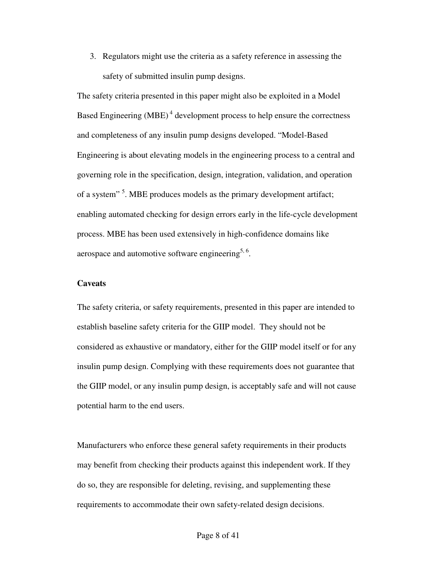3. Regulators might use the criteria as a safety reference in assessing the safety of submitted insulin pump designs.

The safety criteria presented in this paper might also be exploited in a Model Based Engineering  $(MBE)^4$  development process to help ensure the correctness and completeness of any insulin pump designs developed. "Model-Based Engineering is about elevating models in the engineering process to a central and governing role in the specification, design, integration, validation, and operation of a system"<sup>5</sup>. MBE produces models as the primary development artifact; enabling automated checking for design errors early in the life-cycle development process. MBE has been used extensively in high-confidence domains like aerospace and automotive software engineering<sup>5, 6</sup>.

## **Caveats**

The safety criteria, or safety requirements, presented in this paper are intended to establish baseline safety criteria for the GIIP model. They should not be considered as exhaustive or mandatory, either for the GIIP model itself or for any insulin pump design. Complying with these requirements does not guarantee that the GIIP model, or any insulin pump design, is acceptably safe and will not cause potential harm to the end users.

Manufacturers who enforce these general safety requirements in their products may benefit from checking their products against this independent work. If they do so, they are responsible for deleting, revising, and supplementing these requirements to accommodate their own safety-related design decisions.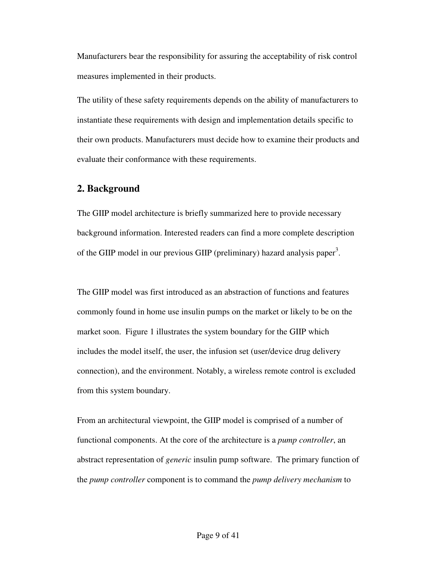Manufacturers bear the responsibility for assuring the acceptability of risk control measures implemented in their products.

The utility of these safety requirements depends on the ability of manufacturers to instantiate these requirements with design and implementation details specific to their own products. Manufacturers must decide how to examine their products and evaluate their conformance with these requirements.

## **2. Background**

The GIIP model architecture is briefly summarized here to provide necessary background information. Interested readers can find a more complete description of the GIIP model in our previous GIIP (preliminary) hazard analysis paper<sup>3</sup>.

The GIIP model was first introduced as an abstraction of functions and features commonly found in home use insulin pumps on the market or likely to be on the market soon. Figure 1 illustrates the system boundary for the GIIP which includes the model itself, the user, the infusion set (user/device drug delivery connection), and the environment. Notably, a wireless remote control is excluded from this system boundary.

From an architectural viewpoint, the GIIP model is comprised of a number of functional components. At the core of the architecture is a *pump controller*, an abstract representation of *generic* insulin pump software. The primary function of the *pump controller* component is to command the *pump delivery mechanism* to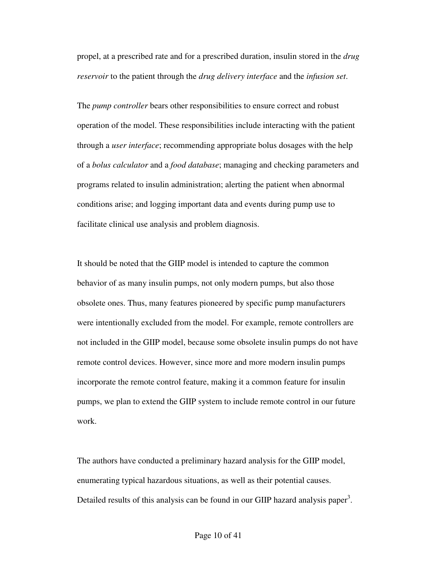propel, at a prescribed rate and for a prescribed duration, insulin stored in the *drug reservoir* to the patient through the *drug delivery interface* and the *infusion set*.

The *pump controller* bears other responsibilities to ensure correct and robust operation of the model. These responsibilities include interacting with the patient through a *user interface*; recommending appropriate bolus dosages with the help of a *bolus calculator* and a *food database*; managing and checking parameters and programs related to insulin administration; alerting the patient when abnormal conditions arise; and logging important data and events during pump use to facilitate clinical use analysis and problem diagnosis.

It should be noted that the GIIP model is intended to capture the common behavior of as many insulin pumps, not only modern pumps, but also those obsolete ones. Thus, many features pioneered by specific pump manufacturers were intentionally excluded from the model. For example, remote controllers are not included in the GIIP model, because some obsolete insulin pumps do not have remote control devices. However, since more and more modern insulin pumps incorporate the remote control feature, making it a common feature for insulin pumps, we plan to extend the GIIP system to include remote control in our future work.

The authors have conducted a preliminary hazard analysis for the GIIP model, enumerating typical hazardous situations, as well as their potential causes. Detailed results of this analysis can be found in our GIIP hazard analysis paper<sup>3</sup>.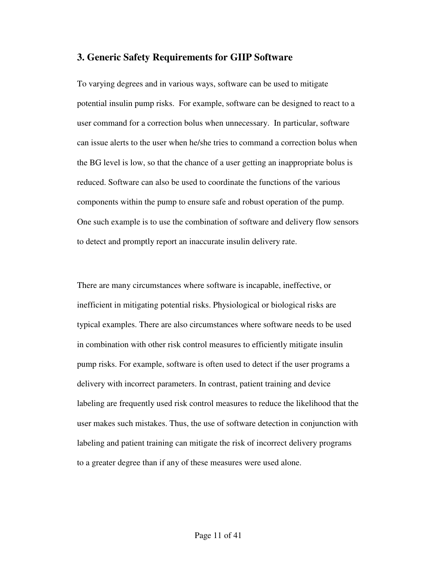## **3. Generic Safety Requirements for GIIP Software**

To varying degrees and in various ways, software can be used to mitigate potential insulin pump risks. For example, software can be designed to react to a user command for a correction bolus when unnecessary. In particular, software can issue alerts to the user when he/she tries to command a correction bolus when the BG level is low, so that the chance of a user getting an inappropriate bolus is reduced. Software can also be used to coordinate the functions of the various components within the pump to ensure safe and robust operation of the pump. One such example is to use the combination of software and delivery flow sensors to detect and promptly report an inaccurate insulin delivery rate.

There are many circumstances where software is incapable, ineffective, or inefficient in mitigating potential risks. Physiological or biological risks are typical examples. There are also circumstances where software needs to be used in combination with other risk control measures to efficiently mitigate insulin pump risks. For example, software is often used to detect if the user programs a delivery with incorrect parameters. In contrast, patient training and device labeling are frequently used risk control measures to reduce the likelihood that the user makes such mistakes. Thus, the use of software detection in conjunction with labeling and patient training can mitigate the risk of incorrect delivery programs to a greater degree than if any of these measures were used alone.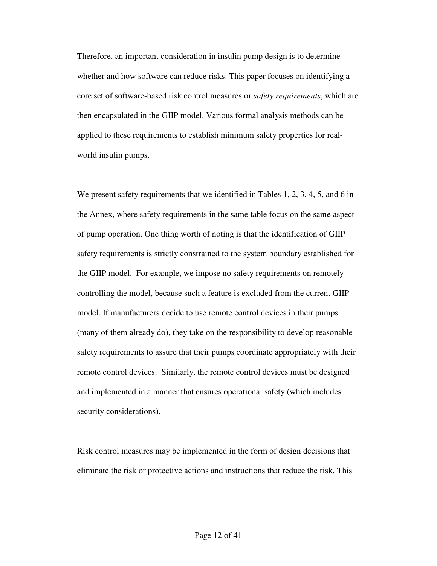Therefore, an important consideration in insulin pump design is to determine whether and how software can reduce risks. This paper focuses on identifying a core set of software-based risk control measures or *safety requirements*, which are then encapsulated in the GIIP model. Various formal analysis methods can be applied to these requirements to establish minimum safety properties for realworld insulin pumps.

We present safety requirements that we identified in Tables 1, 2, 3, 4, 5, and 6 in the Annex, where safety requirements in the same table focus on the same aspect of pump operation. One thing worth of noting is that the identification of GIIP safety requirements is strictly constrained to the system boundary established for the GIIP model. For example, we impose no safety requirements on remotely controlling the model, because such a feature is excluded from the current GIIP model. If manufacturers decide to use remote control devices in their pumps (many of them already do), they take on the responsibility to develop reasonable safety requirements to assure that their pumps coordinate appropriately with their remote control devices. Similarly, the remote control devices must be designed and implemented in a manner that ensures operational safety (which includes security considerations).

Risk control measures may be implemented in the form of design decisions that eliminate the risk or protective actions and instructions that reduce the risk. This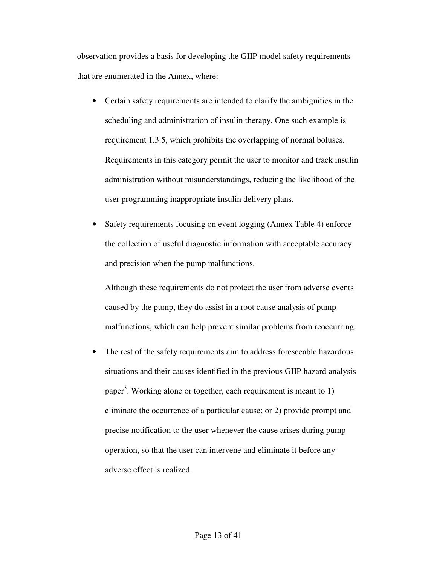observation provides a basis for developing the GIIP model safety requirements that are enumerated in the Annex, where:

- Certain safety requirements are intended to clarify the ambiguities in the scheduling and administration of insulin therapy. One such example is requirement 1.3.5, which prohibits the overlapping of normal boluses. Requirements in this category permit the user to monitor and track insulin administration without misunderstandings, reducing the likelihood of the user programming inappropriate insulin delivery plans.
- Safety requirements focusing on event logging (Annex Table 4) enforce the collection of useful diagnostic information with acceptable accuracy and precision when the pump malfunctions.

Although these requirements do not protect the user from adverse events caused by the pump, they do assist in a root cause analysis of pump malfunctions, which can help prevent similar problems from reoccurring.

The rest of the safety requirements aim to address foreseeable hazardous situations and their causes identified in the previous GIIP hazard analysis paper<sup>3</sup>. Working alone or together, each requirement is meant to 1) eliminate the occurrence of a particular cause; or 2) provide prompt and precise notification to the user whenever the cause arises during pump operation, so that the user can intervene and eliminate it before any adverse effect is realized.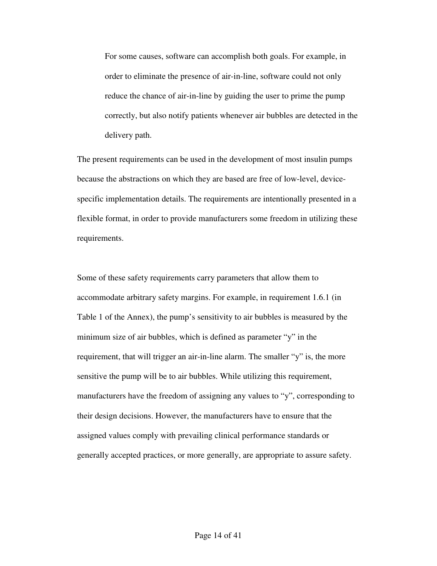For some causes, software can accomplish both goals. For example, in order to eliminate the presence of air-in-line, software could not only reduce the chance of air-in-line by guiding the user to prime the pump correctly, but also notify patients whenever air bubbles are detected in the delivery path.

The present requirements can be used in the development of most insulin pumps because the abstractions on which they are based are free of low-level, devicespecific implementation details. The requirements are intentionally presented in a flexible format, in order to provide manufacturers some freedom in utilizing these requirements.

Some of these safety requirements carry parameters that allow them to accommodate arbitrary safety margins. For example, in requirement 1.6.1 (in Table 1 of the Annex), the pump's sensitivity to air bubbles is measured by the minimum size of air bubbles, which is defined as parameter "y" in the requirement, that will trigger an air-in-line alarm. The smaller "y" is, the more sensitive the pump will be to air bubbles. While utilizing this requirement, manufacturers have the freedom of assigning any values to "y", corresponding to their design decisions. However, the manufacturers have to ensure that the assigned values comply with prevailing clinical performance standards or generally accepted practices, or more generally, are appropriate to assure safety.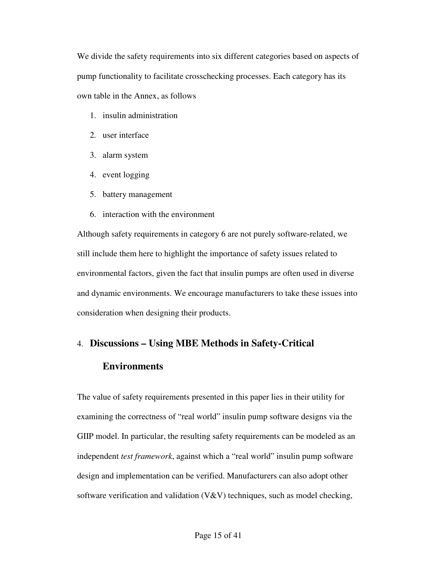We divide the safety requirements into six different categories based on aspects of pump functionality to facilitate crosschecking processes. Each category has its own table in the Annex, as follows

- 1. insulin administration
- 2. user interface
- 3. alarm system
- 4. event logging
- 5. battery management
- 6. interaction with the environment

Although safety requirements in category 6 are not purely software-related, we still include them here to highlight the importance of safety issues related to environmental factors, given the fact that insulin pumps are often used in diverse and dynamic environments. We encourage manufacturers to take these issues into consideration when designing their products.

# 4. **Discussions – Using MBE Methods in Safety-Critical**

# **Environments**

The value of safety requirements presented in this paper lies in their utility for examining the correctness of "real world" insulin pump software designs via the GIIP model. In particular, the resulting safety requirements can be modeled as an independent *test framework*, against which a "real world" insulin pump software design and implementation can be verified. Manufacturers can also adopt other software verification and validation  $(V&V)$  techniques, such as model checking,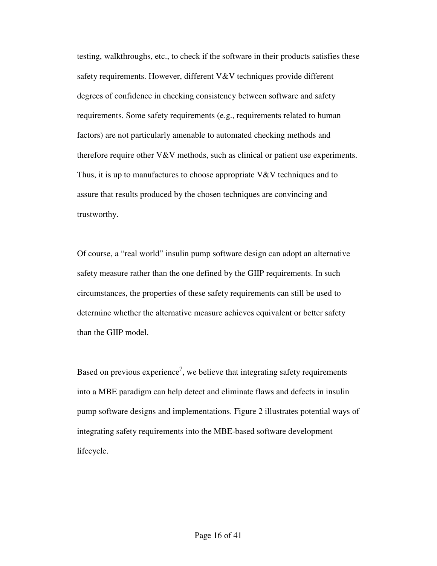testing, walkthroughs, etc., to check if the software in their products satisfies these safety requirements. However, different V&V techniques provide different degrees of confidence in checking consistency between software and safety requirements. Some safety requirements (e.g., requirements related to human factors) are not particularly amenable to automated checking methods and therefore require other  $V&V$  methods, such as clinical or patient use experiments. Thus, it is up to manufactures to choose appropriate V&V techniques and to assure that results produced by the chosen techniques are convincing and trustworthy.

Of course, a "real world" insulin pump software design can adopt an alternative safety measure rather than the one defined by the GIIP requirements. In such circumstances, the properties of these safety requirements can still be used to determine whether the alternative measure achieves equivalent or better safety than the GIIP model.

Based on previous experience<sup>7</sup>, we believe that integrating safety requirements into a MBE paradigm can help detect and eliminate flaws and defects in insulin pump software designs and implementations. Figure 2 illustrates potential ways of integrating safety requirements into the MBE-based software development lifecycle.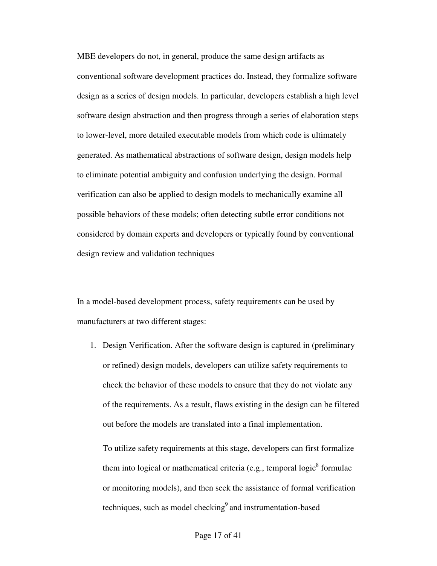MBE developers do not, in general, produce the same design artifacts as conventional software development practices do. Instead, they formalize software design as a series of design models. In particular, developers establish a high level software design abstraction and then progress through a series of elaboration steps to lower-level, more detailed executable models from which code is ultimately generated. As mathematical abstractions of software design, design models help to eliminate potential ambiguity and confusion underlying the design. Formal verification can also be applied to design models to mechanically examine all possible behaviors of these models; often detecting subtle error conditions not considered by domain experts and developers or typically found by conventional design review and validation techniques

In a model-based development process, safety requirements can be used by manufacturers at two different stages:

1. Design Verification. After the software design is captured in (preliminary or refined) design models, developers can utilize safety requirements to check the behavior of these models to ensure that they do not violate any of the requirements. As a result, flaws existing in the design can be filtered out before the models are translated into a final implementation.

To utilize safety requirements at this stage, developers can first formalize them into logical or mathematical criteria (e.g., temporal logic $<sup>8</sup>$  formulae</sup> or monitoring models), and then seek the assistance of formal verification techniques, such as model checking $9$  and instrumentation-based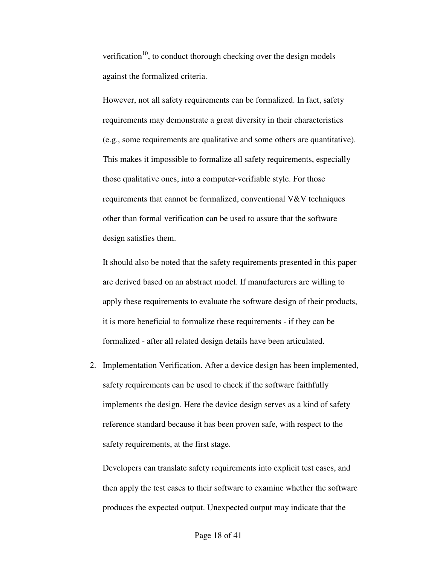verification<sup>10</sup>, to conduct thorough checking over the design models against the formalized criteria.

However, not all safety requirements can be formalized. In fact, safety requirements may demonstrate a great diversity in their characteristics (e.g., some requirements are qualitative and some others are quantitative). This makes it impossible to formalize all safety requirements, especially those qualitative ones, into a computer-verifiable style. For those requirements that cannot be formalized, conventional V&V techniques other than formal verification can be used to assure that the software design satisfies them.

It should also be noted that the safety requirements presented in this paper are derived based on an abstract model. If manufacturers are willing to apply these requirements to evaluate the software design of their products, it is more beneficial to formalize these requirements - if they can be formalized - after all related design details have been articulated.

2. Implementation Verification. After a device design has been implemented, safety requirements can be used to check if the software faithfully implements the design. Here the device design serves as a kind of safety reference standard because it has been proven safe, with respect to the safety requirements, at the first stage.

Developers can translate safety requirements into explicit test cases, and then apply the test cases to their software to examine whether the software produces the expected output. Unexpected output may indicate that the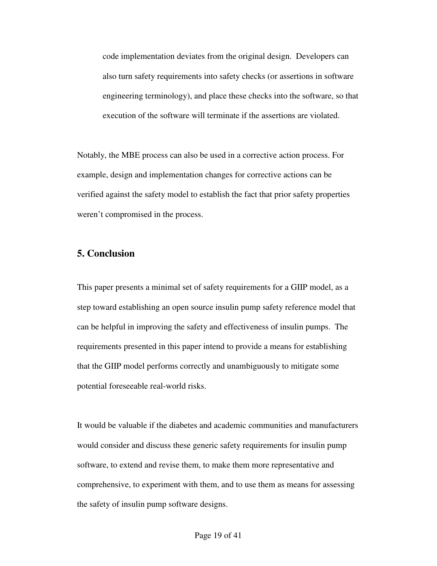code implementation deviates from the original design. Developers can also turn safety requirements into safety checks (or assertions in software engineering terminology), and place these checks into the software, so that execution of the software will terminate if the assertions are violated.

Notably, the MBE process can also be used in a corrective action process. For example, design and implementation changes for corrective actions can be verified against the safety model to establish the fact that prior safety properties weren't compromised in the process.

# **5. Conclusion**

This paper presents a minimal set of safety requirements for a GIIP model, as a step toward establishing an open source insulin pump safety reference model that can be helpful in improving the safety and effectiveness of insulin pumps. The requirements presented in this paper intend to provide a means for establishing that the GIIP model performs correctly and unambiguously to mitigate some potential foreseeable real-world risks.

It would be valuable if the diabetes and academic communities and manufacturers would consider and discuss these generic safety requirements for insulin pump software, to extend and revise them, to make them more representative and comprehensive, to experiment with them, and to use them as means for assessing the safety of insulin pump software designs.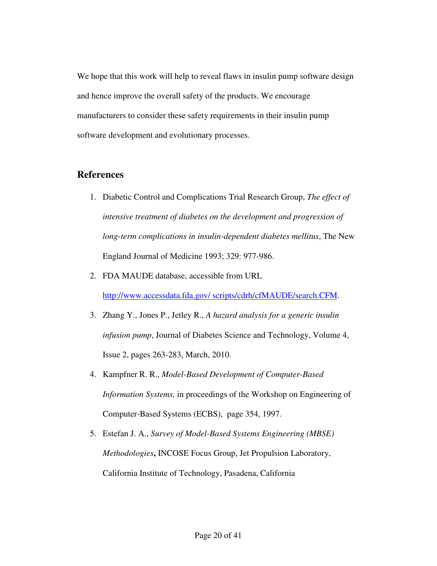We hope that this work will help to reveal flaws in insulin pump software design and hence improve the overall safety of the products. We encourage manufacturers to consider these safety requirements in their insulin pump software development and evolutionary processes.

# **References**

- 1. Diabetic Control and Complications Trial Research Group, *The effect of intensive treatment of diabetes on the development and progression of long-term complications in insulin-dependent diabetes mellitus*, The New England Journal of Medicine 1993; 329: 977-986.
- 2. FDA MAUDE database, accessible from URL http://www.accessdata.fda.gov/ scripts/cdrh/cfMAUDE/search.CFM.
- 3. Zhang Y., Jones P., Jetley R., *A hazard analysis for a generic insulin infusion pump*, Journal of Diabetes Science and Technology, Volume 4, Issue 2, pages 263-283, March, 2010.
- 4. Kampfner R. R., *Model-Based Development of Computer-Based Information Systems,* in proceedings of the Workshop on Engineering of Computer-Based Systems (ECBS), page 354, 1997.
- 5. Estefan J. A., *Survey of Model-Based Systems Engineering (MBSE) Methodologies***,** INCOSE Focus Group, Jet Propulsion Laboratory, California Institute of Technology, Pasadena, California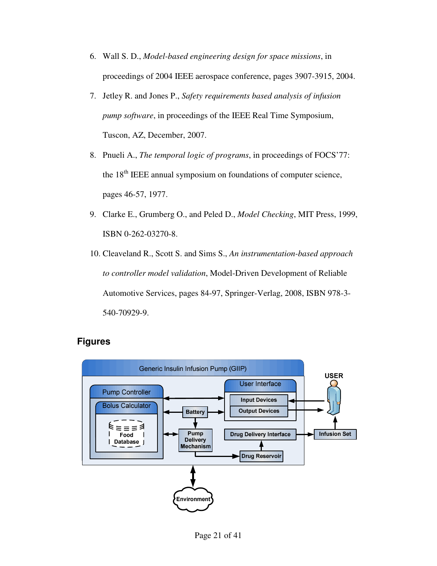- 6. Wall S. D., *Model-based engineering design for space missions*, in proceedings of 2004 IEEE aerospace conference, pages 3907-3915, 2004.
- 7. Jetley R. and Jones P., *Safety requirements based analysis of infusion pump software*, in proceedings of the IEEE Real Time Symposium, Tuscon, AZ, December, 2007.
- 8. Pnueli A., *The temporal logic of programs*, in proceedings of FOCS'77: the 18<sup>th</sup> IEEE annual symposium on foundations of computer science, pages 46-57, 1977.
- 9. Clarke E., Grumberg O., and Peled D., *Model Checking*, MIT Press, 1999, ISBN 0-262-03270-8.
- 10. Cleaveland R., Scott S. and Sims S., *An instrumentation-based approach to controller model validation*, Model-Driven Development of Reliable Automotive Services, pages 84-97, Springer-Verlag, 2008, ISBN 978-3- 540-70929-9.



# **Figures**

Page 21 of 41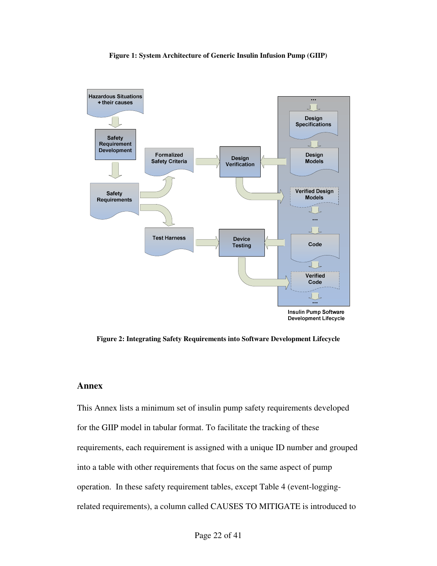#### **Figure 1: System Architecture of Generic Insulin Infusion Pump (GIIP)**



**Figure 2: Integrating Safety Requirements into Software Development Lifecycle** 

## **Annex**

This Annex lists a minimum set of insulin pump safety requirements developed for the GIIP model in tabular format. To facilitate the tracking of these requirements, each requirement is assigned with a unique ID number and grouped into a table with other requirements that focus on the same aspect of pump operation. In these safety requirement tables, except Table 4 (event-loggingrelated requirements), a column called CAUSES TO MITIGATE is introduced to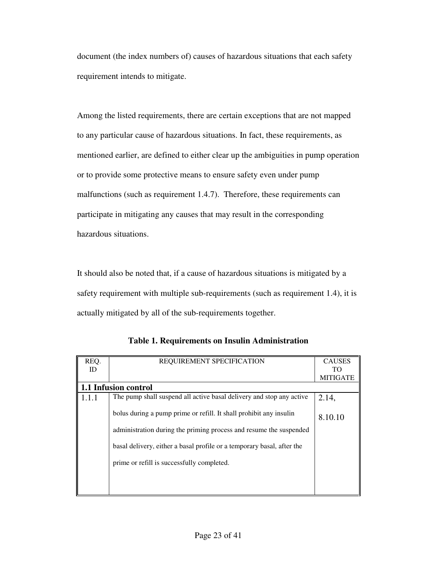document (the index numbers of) causes of hazardous situations that each safety requirement intends to mitigate.

Among the listed requirements, there are certain exceptions that are not mapped to any particular cause of hazardous situations. In fact, these requirements, as mentioned earlier, are defined to either clear up the ambiguities in pump operation or to provide some protective means to ensure safety even under pump malfunctions (such as requirement 1.4.7). Therefore, these requirements can participate in mitigating any causes that may result in the corresponding hazardous situations.

It should also be noted that, if a cause of hazardous situations is mitigated by a safety requirement with multiple sub-requirements (such as requirement 1.4), it is actually mitigated by all of the sub-requirements together.

| REQ.  | REQUIREMENT SPECIFICATION                                              | <b>CAUSES</b>   |
|-------|------------------------------------------------------------------------|-----------------|
| ID    |                                                                        | TО              |
|       |                                                                        | <b>MITIGATE</b> |
|       | 1.1 Infusion control                                                   |                 |
| 1.1.1 | The pump shall suspend all active basal delivery and stop any active   | 2.14,           |
|       | bolus during a pump prime or refill. It shall prohibit any insulin     | 8.10.10         |
|       | administration during the priming process and resume the suspended     |                 |
|       | basal delivery, either a basal profile or a temporary basal, after the |                 |
|       | prime or refill is successfully completed.                             |                 |
|       |                                                                        |                 |
|       |                                                                        |                 |

**Table 1. Requirements on Insulin Administration**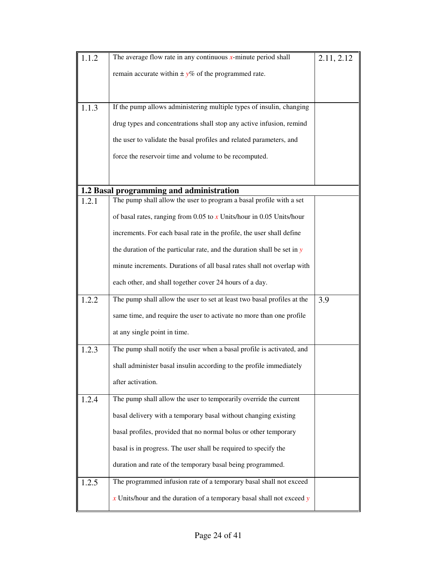| 1.1.2 | The average flow rate in any continuous $x$ -minute period shall          | 2.11, 2.12 |
|-------|---------------------------------------------------------------------------|------------|
|       |                                                                           |            |
|       | remain accurate within $\pm y\%$ of the programmed rate.                  |            |
|       |                                                                           |            |
|       |                                                                           |            |
| 1.1.3 | If the pump allows administering multiple types of insulin, changing      |            |
|       | drug types and concentrations shall stop any active infusion, remind      |            |
|       | the user to validate the basal profiles and related parameters, and       |            |
|       | force the reservoir time and volume to be recomputed.                     |            |
|       |                                                                           |            |
|       | 1.2 Basal programming and administration                                  |            |
| 1.2.1 | The pump shall allow the user to program a basal profile with a set       |            |
|       | of basal rates, ranging from 0.05 to $x$ Units/hour in 0.05 Units/hour    |            |
|       | increments. For each basal rate in the profile, the user shall define     |            |
|       | the duration of the particular rate, and the duration shall be set in $y$ |            |
|       | minute increments. Durations of all basal rates shall not overlap with    |            |
|       | each other, and shall together cover 24 hours of a day.                   |            |
| 1.2.2 | The pump shall allow the user to set at least two basal profiles at the   | 3.9        |
|       | same time, and require the user to activate no more than one profile      |            |
|       | at any single point in time.                                              |            |
| 1.2.3 | The pump shall notify the user when a basal profile is activated, and     |            |
|       | shall administer basal insulin according to the profile immediately       |            |
|       | after activation.                                                         |            |
| 1.2.4 | The pump shall allow the user to temporarily override the current         |            |
|       | basal delivery with a temporary basal without changing existing           |            |
|       | basal profiles, provided that no normal bolus or other temporary          |            |
|       | basal is in progress. The user shall be required to specify the           |            |
|       | duration and rate of the temporary basal being programmed.                |            |
| 1.2.5 | The programmed infusion rate of a temporary basal shall not exceed        |            |
|       | $x$ Units/hour and the duration of a temporary basal shall not exceed $y$ |            |
|       |                                                                           |            |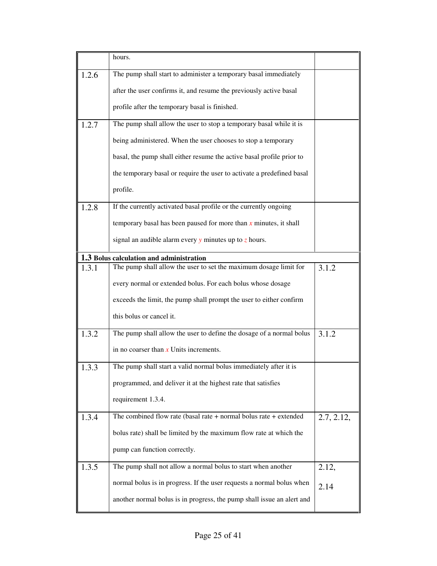|       | hours.                                                                 |            |
|-------|------------------------------------------------------------------------|------------|
| 1.2.6 | The pump shall start to administer a temporary basal immediately       |            |
|       | after the user confirms it, and resume the previously active basal     |            |
|       | profile after the temporary basal is finished.                         |            |
| 1.2.7 | The pump shall allow the user to stop a temporary basal while it is    |            |
|       | being administered. When the user chooses to stop a temporary          |            |
|       | basal, the pump shall either resume the active basal profile prior to  |            |
|       | the temporary basal or require the user to activate a predefined basal |            |
|       | profile.                                                               |            |
| 1.2.8 | If the currently activated basal profile or the currently ongoing      |            |
|       | temporary basal has been paused for more than $x$ minutes, it shall    |            |
|       | signal an audible alarm every $y$ minutes up to $z$ hours.             |            |
|       | 1.3 Bolus calculation and administration                               |            |
| 1.3.1 | The pump shall allow the user to set the maximum dosage limit for      | 3.1.2      |
|       | every normal or extended bolus. For each bolus whose dosage            |            |
|       | exceeds the limit, the pump shall prompt the user to either confirm    |            |
|       | this bolus or cancel it.                                               |            |
| 1.3.2 | The pump shall allow the user to define the dosage of a normal bolus   | 3.1.2      |
|       | in no coarser than $x$ Units increments.                               |            |
| .3.3  | The pump shall start a valid normal bolus immediately after it is      |            |
|       | programmed, and deliver it at the highest rate that satisfies          |            |
|       | requirement 1.3.4.                                                     |            |
| 1.3.4 | The combined flow rate (basal rate $+$ normal bolus rate $+$ extended  | 2.7, 2.12, |
|       | bolus rate) shall be limited by the maximum flow rate at which the     |            |
|       | pump can function correctly.                                           |            |
| 1.3.5 | The pump shall not allow a normal bolus to start when another          | 2.12,      |
|       | normal bolus is in progress. If the user requests a normal bolus when  | 2.14       |
|       | another normal bolus is in progress, the pump shall issue an alert and |            |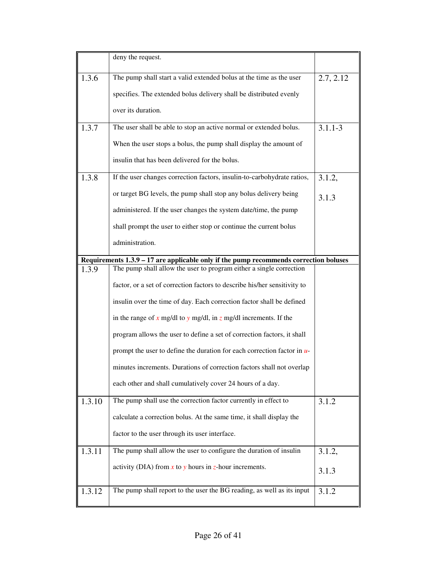|        | deny the request.                                                                       |             |
|--------|-----------------------------------------------------------------------------------------|-------------|
| 1.3.6  | The pump shall start a valid extended bolus at the time as the user                     | 2.7, 2.12   |
|        | specifies. The extended bolus delivery shall be distributed evenly                      |             |
|        | over its duration.                                                                      |             |
| 1.3.7  | The user shall be able to stop an active normal or extended bolus.                      | $3.1.1 - 3$ |
|        | When the user stops a bolus, the pump shall display the amount of                       |             |
|        | insulin that has been delivered for the bolus.                                          |             |
| 1.3.8  | If the user changes correction factors, insulin-to-carbohydrate ratios,                 | 3.1.2,      |
|        | or target BG levels, the pump shall stop any bolus delivery being                       | 3.1.3       |
|        | administered. If the user changes the system date/time, the pump                        |             |
|        | shall prompt the user to either stop or continue the current bolus                      |             |
|        | administration.                                                                         |             |
|        | Requirements $1.3.9 - 17$ are applicable only if the pump recommends correction boluses |             |
| 1.3.9  | The pump shall allow the user to program either a single correction                     |             |
|        | factor, or a set of correction factors to describe his/her sensitivity to               |             |
|        | insulin over the time of day. Each correction factor shall be defined                   |             |
|        | in the range of x mg/dl to y mg/dl, in z mg/dl increments. If the                       |             |
|        | program allows the user to define a set of correction factors, it shall                 |             |
|        | prompt the user to define the duration for each correction factor in $u$                |             |
|        | minutes increments. Durations of correction factors shall not overlap                   |             |
|        | each other and shall cumulatively cover 24 hours of a day.                              |             |
| 1.3.10 | The pump shall use the correction factor currently in effect to                         | 3.1.2       |
|        | calculate a correction bolus. At the same time, it shall display the                    |             |
|        | factor to the user through its user interface.                                          |             |
| 1.3.11 | The pump shall allow the user to configure the duration of insulin                      | 3.1.2,      |
|        | activity (DIA) from $x$ to $y$ hours in $z$ -hour increments.                           | 3.1.3       |
| 1.3.12 | The pump shall report to the user the BG reading, as well as its input                  | 3.1.2       |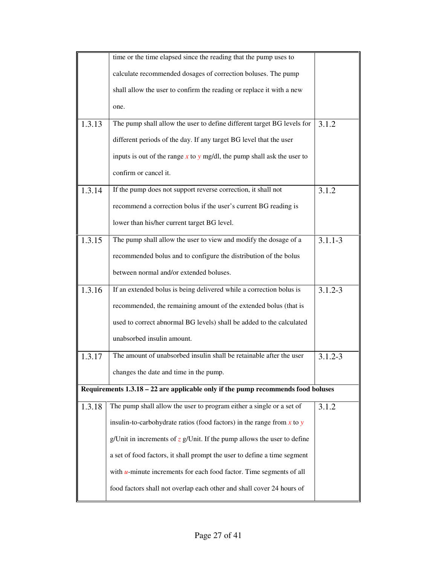|        | time or the time elapsed since the reading that the pump uses to                   |             |
|--------|------------------------------------------------------------------------------------|-------------|
|        | calculate recommended dosages of correction boluses. The pump                      |             |
|        | shall allow the user to confirm the reading or replace it with a new               |             |
|        | one.                                                                               |             |
| 1.3.13 | The pump shall allow the user to define different target BG levels for             | 3.1.2       |
|        | different periods of the day. If any target BG level that the user                 |             |
|        | inputs is out of the range $x$ to $y$ mg/dl, the pump shall ask the user to        |             |
|        | confirm or cancel it.                                                              |             |
| 1.3.14 | If the pump does not support reverse correction, it shall not                      | 3.1.2       |
|        | recommend a correction bolus if the user's current BG reading is                   |             |
|        | lower than his/her current target BG level.                                        |             |
| 1.3.15 | The pump shall allow the user to view and modify the dosage of a                   | $3.1.1 - 3$ |
|        | recommended bolus and to configure the distribution of the bolus                   |             |
|        | between normal and/or extended boluses.                                            |             |
| 1.3.16 | If an extended bolus is being delivered while a correction bolus is                | $3.1.2 - 3$ |
|        | recommended, the remaining amount of the extended bolus (that is                   |             |
|        | used to correct abnormal BG levels) shall be added to the calculated               |             |
|        | unabsorbed insulin amount.                                                         |             |
| 1.3.17 | The amount of unabsorbed insulin shall be retainable after the user                | $3.1.2 - 3$ |
|        | changes the date and time in the pump.                                             |             |
|        | Requirements $1.3.18 - 22$ are applicable only if the pump recommends food boluses |             |
| 1.3.18 | The pump shall allow the user to program either a single or a set of               | 3.1.2       |
|        | insulin-to-carbohydrate ratios (food factors) in the range from $x$ to $y$         |             |
|        | g/Unit in increments of $z$ g/Unit. If the pump allows the user to define          |             |
|        | a set of food factors, it shall prompt the user to define a time segment           |             |
|        | with $u$ -minute increments for each food factor. Time segments of all             |             |
|        | food factors shall not overlap each other and shall cover 24 hours of              |             |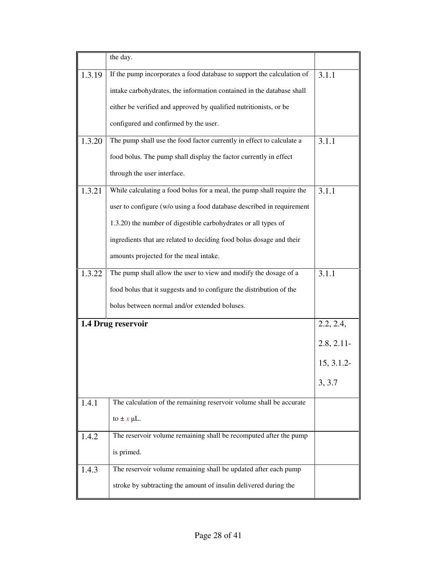|        | the day.                                                               |               |
|--------|------------------------------------------------------------------------|---------------|
| 1.3.19 | If the pump incorporates a food database to support the calculation of | 3.1.1         |
|        | intake carbohydrates, the information contained in the database shall  |               |
|        | either be verified and approved by qualified nutritionists, or be      |               |
|        | configured and confirmed by the user.                                  |               |
| 1.3.20 | The pump shall use the food factor currently in effect to calculate a  | 3.1.1         |
|        | food bolus. The pump shall display the factor currently in effect      |               |
|        | through the user interface.                                            |               |
| 1.3.21 | While calculating a food bolus for a meal, the pump shall require the  | 3.1.1         |
|        | user to configure (w/o using a food database described in requirement  |               |
|        | 1.3.20) the number of digestible carbohydrates or all types of         |               |
|        | ingredients that are related to deciding food bolus dosage and their   |               |
|        | amounts projected for the meal intake.                                 |               |
| 1.3.22 | The pump shall allow the user to view and modify the dosage of a       | 3.1.1         |
|        | food bolus that it suggests and to configure the distribution of the   |               |
|        | bolus between normal and/or extended boluses.                          |               |
|        | 1.4 Drug reservoir                                                     | 2.2, 2.4,     |
|        |                                                                        | $2.8, 2.11$ - |
|        |                                                                        | 15, 3.1.2     |
|        |                                                                        | 3, 3.7        |
| 1.4.1  | The calculation of the remaining reservoir volume shall be accurate    |               |
|        | to $\pm x$ µL.                                                         |               |
| 1.4.2  | The reservoir volume remaining shall be recomputed after the pump      |               |
|        | is primed.                                                             |               |
| 1.4.3  | The reservoir volume remaining shall be updated after each pump        |               |
|        | stroke by subtracting the amount of insulin delivered during the       |               |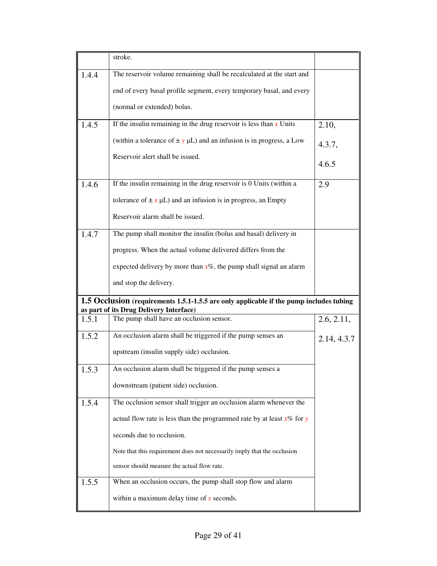|       | stroke.                                                                                                                            |             |
|-------|------------------------------------------------------------------------------------------------------------------------------------|-------------|
| 1.4.4 | The reservoir volume remaining shall be recalculated at the start and                                                              |             |
|       | end of every basal profile segment, every temporary basal, and every                                                               |             |
|       | (normal or extended) bolus.                                                                                                        |             |
| 1.4.5 | If the insulin remaining in the drug reservoir is less than $x$ Units                                                              | 2.10,       |
|       | (within a tolerance of $\pm y$ µL) and an infusion is in progress, a Low                                                           | 4.3.7,      |
|       | Reservoir alert shall be issued.                                                                                                   | 4.6.5       |
| 1.4.6 | If the insulin remaining in the drug reservoir is 0 Units (within a                                                                | 2.9         |
|       |                                                                                                                                    |             |
|       | tolerance of $\pm x \mu L$ ) and an infusion is in progress, an Empty                                                              |             |
|       | Reservoir alarm shall be issued.                                                                                                   |             |
| 1.4.7 | The pump shall monitor the insulin (bolus and basal) delivery in                                                                   |             |
|       | progress. When the actual volume delivered differs from the                                                                        |             |
|       | expected delivery by more than $x\%$ , the pump shall signal an alarm                                                              |             |
|       | and stop the delivery.                                                                                                             |             |
|       | 1.5 Occlusion (requirements 1.5.1-1.5.5 are only applicable if the pump includes tubing<br>as part of its Drug Delivery Interface) |             |
| 1.5.1 | The pump shall have an occlusion sensor.                                                                                           | 2.6, 2.11,  |
| 1.5.2 | An occlusion alarm shall be triggered if the pump senses an                                                                        | 2.14, 4.3.7 |
|       | upstream (insulin supply side) occlusion.                                                                                          |             |
| 1.5.3 | An occlusion alarm shall be triggered if the pump senses a                                                                         |             |
|       | downstream (patient side) occlusion.                                                                                               |             |
| 1.5.4 | The occlusion sensor shall trigger an occlusion alarm whenever the                                                                 |             |
|       | actual flow rate is less than the programmed rate by at least $x\%$ for y                                                          |             |
|       | seconds due to occlusion.                                                                                                          |             |
|       | Note that this requirement does not necessarily imply that the occlusion                                                           |             |
|       | sensor should measure the actual flow rate.                                                                                        |             |
| 1.5.5 | When an occlusion occurs, the pump shall stop flow and alarm                                                                       |             |
|       | within a maximum delay time of $x$ seconds.                                                                                        |             |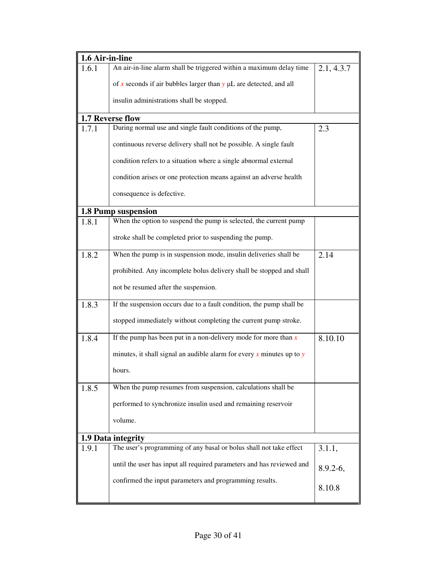| 1.6 Air-in-line |                                                                           |              |
|-----------------|---------------------------------------------------------------------------|--------------|
| 1.6.1           | An air-in-line alarm shall be triggered within a maximum delay time       | 2.1, 4.3.7   |
|                 | of x seconds if air bubbles larger than $y \mu L$ are detected, and all   |              |
|                 | insulin administrations shall be stopped.                                 |              |
|                 | 1.7 Reverse flow                                                          |              |
| 1.7.1           | During normal use and single fault conditions of the pump,                | 2.3          |
|                 | continuous reverse delivery shall not be possible. A single fault         |              |
|                 | condition refers to a situation where a single abnormal external          |              |
|                 | condition arises or one protection means against an adverse health        |              |
|                 | consequence is defective.                                                 |              |
|                 | 1.8 Pump suspension                                                       |              |
| 1.8.1           | When the option to suspend the pump is selected, the current pump         |              |
|                 | stroke shall be completed prior to suspending the pump.                   |              |
| 1.8.2           | When the pump is in suspension mode, insulin deliveries shall be          | 2.14         |
|                 | prohibited. Any incomplete bolus delivery shall be stopped and shall      |              |
|                 | not be resumed after the suspension.                                      |              |
| 1.8.3           | If the suspension occurs due to a fault condition, the pump shall be      |              |
|                 | stopped immediately without completing the current pump stroke.           |              |
| 1.8.4           | If the pump has been put in a non-delivery mode for more than $x$         | 8.10.10      |
|                 | minutes, it shall signal an audible alarm for every $x$ minutes up to $y$ |              |
|                 | hours.                                                                    |              |
| 1.8.5           | When the pump resumes from suspension, calculations shall be              |              |
|                 | performed to synchronize insulin used and remaining reservoir             |              |
|                 | volume.                                                                   |              |
|                 | 1.9 Data integrity                                                        |              |
| 1.9.1           | The user's programming of any basal or bolus shall not take effect        | 3.1.1,       |
|                 | until the user has input all required parameters and has reviewed and     | $8.9.2 - 6,$ |
|                 | confirmed the input parameters and programming results.                   | 8.10.8       |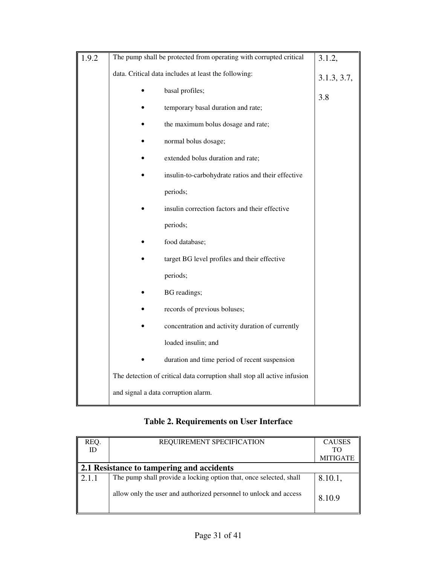| 1.9.2 | The pump shall be protected from operating with corrupted critical       | 3.1.2,      |
|-------|--------------------------------------------------------------------------|-------------|
|       | data. Critical data includes at least the following:                     | 3.1.3, 3.7, |
|       | basal profiles;                                                          | 3.8         |
|       | temporary basal duration and rate;                                       |             |
|       | the maximum bolus dosage and rate;                                       |             |
|       | normal bolus dosage;                                                     |             |
|       | extended bolus duration and rate;                                        |             |
|       | insulin-to-carbohydrate ratios and their effective                       |             |
|       | periods;                                                                 |             |
|       | insulin correction factors and their effective                           |             |
|       | periods;                                                                 |             |
|       | food database;                                                           |             |
|       | target BG level profiles and their effective                             |             |
|       | periods;                                                                 |             |
|       | BG readings;                                                             |             |
|       | records of previous boluses;                                             |             |
|       | concentration and activity duration of currently                         |             |
|       | loaded insulin; and                                                      |             |
|       | duration and time period of recent suspension                            |             |
|       | The detection of critical data corruption shall stop all active infusion |             |
|       | and signal a data corruption alarm.                                      |             |

# **Table 2. Requirements on User Interface**

| REQ.  | REQUIREMENT SPECIFICATION                                          | <b>CAUSES</b>   |
|-------|--------------------------------------------------------------------|-----------------|
| ID    |                                                                    | <b>TO</b>       |
|       |                                                                    | <b>MITIGATE</b> |
|       | 2.1 Resistance to tampering and accidents                          |                 |
| 2.1.1 | The pump shall provide a locking option that, once selected, shall | 8.10.1,         |
|       | allow only the user and authorized personnel to unlock and access  | 8.10.9          |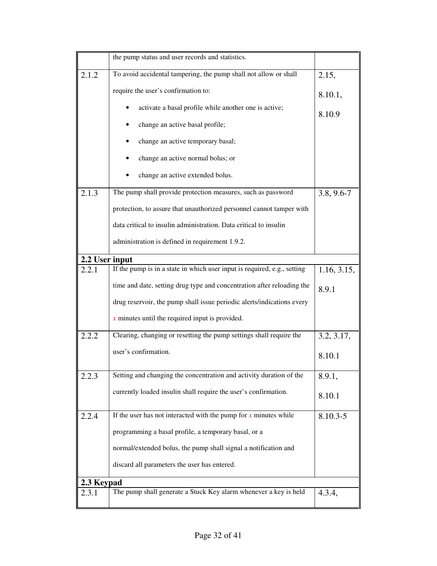|                | the pump status and user records and statistics.                         |                |
|----------------|--------------------------------------------------------------------------|----------------|
| 2.1.2          | To avoid accidental tampering, the pump shall not allow or shall         | 2.15,          |
|                | require the user's confirmation to:                                      | 8.10.1,        |
|                | activate a basal profile while another one is active;                    | 8.10.9         |
|                | change an active basal profile;                                          |                |
|                | change an active temporary basal;                                        |                |
|                | change an active normal bolus; or                                        |                |
|                | change an active extended bolus.                                         |                |
| 2.1.3          | The pump shall provide protection measures, such as password             | $3.8, 9.6 - 7$ |
|                | protection, to assure that unauthorized personnel cannot tamper with     |                |
|                | data critical to insulin administration. Data critical to insulin        |                |
|                | administration is defined in requirement 1.9.2.                          |                |
| 2.2 User input |                                                                          |                |
| 2.2.1          | If the pump is in a state in which user input is required, e.g., setting | 1.16, 3.15,    |
|                | time and date, setting drug type and concentration after reloading the   | 8.9.1          |
|                | drug reservoir, the pump shall issue periodic alerts/indications every   |                |
|                | $x$ minutes until the required input is provided.                        |                |
| 2.2.2          | Clearing, changing or resetting the pump settings shall require the      | 3.2, 3.17,     |
|                | user's confirmation.                                                     | 8.10.1         |
| 2.2.3          | Setting and changing the concentration and activity duration of the      | 8.9.1,         |
|                | currently loaded insulin shall require the user's confirmation.          | 8.10.1         |
| 2.2.4          | If the user has not interacted with the pump for $x$ minutes while       | 8.10.3-5       |
|                | programming a basal profile, a temporary basal, or a                     |                |
|                | normal/extended bolus, the pump shall signal a notification and          |                |
|                | discard all parameters the user has entered.                             |                |
| 2.3 Keypad     |                                                                          |                |
| 2.3.1          | The pump shall generate a Stuck Key alarm whenever a key is held         | 4.3.4,         |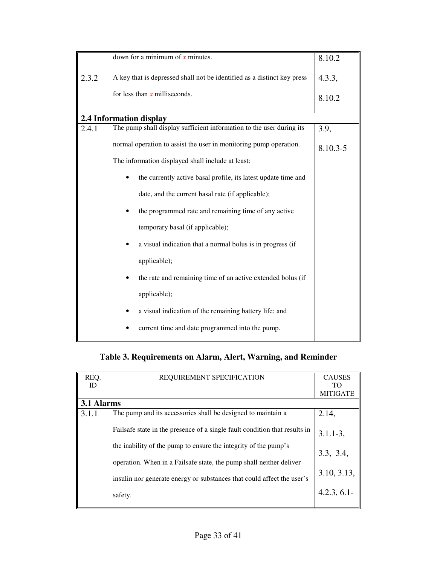|       | down for a minimum of $x$ minutes.                                      | 8.10.2   |
|-------|-------------------------------------------------------------------------|----------|
| 2.3.2 | A key that is depressed shall not be identified as a distinct key press | 4.3.3,   |
|       | for less than $x$ milliseconds.                                         | 8.10.2   |
|       | 2.4 Information display                                                 |          |
| 2.4.1 | The pump shall display sufficient information to the user during its    | 3.9,     |
|       | normal operation to assist the user in monitoring pump operation.       | 8.10.3-5 |
|       | The information displayed shall include at least:                       |          |
|       | the currently active basal profile, its latest update time and          |          |
|       | date, and the current basal rate (if applicable);                       |          |
|       | the programmed rate and remaining time of any active                    |          |
|       | temporary basal (if applicable);                                        |          |
|       | a visual indication that a normal bolus is in progress (if              |          |
|       | applicable);                                                            |          |
|       | the rate and remaining time of an active extended bolus (if             |          |
|       | applicable);                                                            |          |
|       | a visual indication of the remaining battery life; and                  |          |
|       | current time and date programmed into the pump.                         |          |

**Table 3. Requirements on Alarm, Alert, Warning, and Reminder** 

| REQ.       | REQUIREMENT SPECIFICATION                                                          | <b>CAUSES</b>   |
|------------|------------------------------------------------------------------------------------|-----------------|
| ID         |                                                                                    | TO              |
|            |                                                                                    | <b>MITIGATE</b> |
| 3.1 Alarms |                                                                                    |                 |
| 3.1.1      | The pump and its accessories shall be designed to maintain a                       | 2.14,           |
|            | Fails afferment fails are the presence of a single fault condition that results in | $3.1.1 - 3,$    |
|            | the inability of the pump to ensure the integrity of the pump's                    | 3.3, 3.4,       |
|            | operation. When in a Failsafe state, the pump shall neither deliver                |                 |
|            | insulin nor generate energy or substances that could affect the user's             | 3.10, 3.13,     |
|            | safety.                                                                            | 4.2.3, 6.1      |
|            |                                                                                    |                 |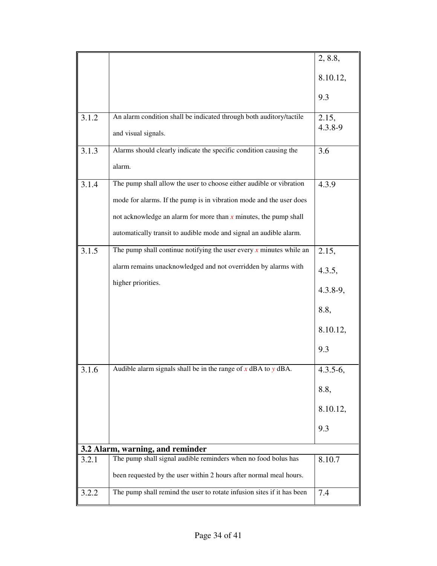|       |                                                                        | 2, 8.8,      |
|-------|------------------------------------------------------------------------|--------------|
|       |                                                                        | 8.10.12,     |
|       |                                                                        | 9.3          |
| 3.1.2 | An alarm condition shall be indicated through both auditory/tactile    | 2.15,        |
|       | and visual signals.                                                    | 4.3.8-9      |
| 3.1.3 | Alarms should clearly indicate the specific condition causing the      | 3.6          |
|       | alarm.                                                                 |              |
| 3.1.4 | The pump shall allow the user to choose either audible or vibration    | 4.3.9        |
|       | mode for alarms. If the pump is in vibration mode and the user does    |              |
|       | not acknowledge an alarm for more than $x$ minutes, the pump shall     |              |
|       | automatically transit to audible mode and signal an audible alarm.     |              |
| 3.1.5 | The pump shall continue notifying the user every $x$ minutes while an  | 2.15,        |
|       | alarm remains unacknowledged and not overridden by alarms with         | 4.3.5,       |
|       | higher priorities.                                                     | $4.3.8 - 9,$ |
|       |                                                                        | 8.8,         |
|       |                                                                        | 8.10.12,     |
|       |                                                                        | 9.3          |
| 3.1.6 | Audible alarm signals shall be in the range of $x$ dBA to $y$ dBA.     | $4.3.5-6,$   |
|       |                                                                        | 8.8,         |
|       |                                                                        | 8.10.12,     |
|       |                                                                        | 9.3          |
|       | 3.2 Alarm, warning, and reminder                                       |              |
| 3.2.1 | The pump shall signal audible reminders when no food bolus has         | 8.10.7       |
|       | been requested by the user within 2 hours after normal meal hours.     |              |
| 3.2.2 | The pump shall remind the user to rotate infusion sites if it has been | 7.4          |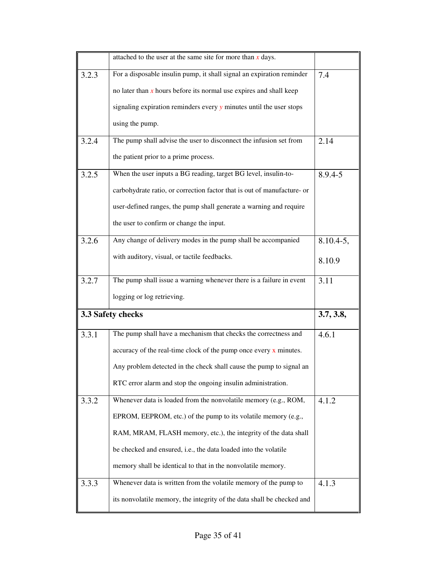|       | attached to the user at the same site for more than $x$ days.           |               |
|-------|-------------------------------------------------------------------------|---------------|
| 3.2.3 | For a disposable insulin pump, it shall signal an expiration reminder   | 7.4           |
|       | no later than $x$ hours before its normal use expires and shall keep    |               |
|       | signaling expiration reminders every y minutes until the user stops     |               |
|       | using the pump.                                                         |               |
| 3.2.4 | The pump shall advise the user to disconnect the infusion set from      | 2.14          |
|       | the patient prior to a prime process.                                   |               |
| 3.2.5 | When the user inputs a BG reading, target BG level, insulin-to-         | 8.9.4-5       |
|       | carbohydrate ratio, or correction factor that is out of manufacture- or |               |
|       | user-defined ranges, the pump shall generate a warning and require      |               |
|       | the user to confirm or change the input.                                |               |
| 3.2.6 | Any change of delivery modes in the pump shall be accompanied           | $8.10.4 - 5,$ |
|       | with auditory, visual, or tactile feedbacks.                            | 8.10.9        |
| 3.2.7 | The pump shall issue a warning whenever there is a failure in event     | 3.11          |
|       | logging or log retrieving.                                              |               |
|       | 3.3 Safety checks                                                       | 3.7, 3.8,     |
| 3.3.1 | The pump shall have a mechanism that checks the correctness and         | 4.6.1         |
|       | accuracy of the real-time clock of the pump once every $x$ minutes.     |               |
|       | Any problem detected in the check shall cause the pump to signal an     |               |
|       | RTC error alarm and stop the ongoing insulin administration.            |               |
| 3.3.2 | Whenever data is loaded from the nonvolatile memory (e.g., ROM,         | 4.1.2         |
|       | EPROM, EEPROM, etc.) of the pump to its volatile memory (e.g.,          |               |
|       | RAM, MRAM, FLASH memory, etc.), the integrity of the data shall         |               |
|       | be checked and ensured, i.e., the data loaded into the volatile         |               |
|       | memory shall be identical to that in the nonvolatile memory.            |               |
| 3.3.3 | Whenever data is written from the volatile memory of the pump to        | 4.1.3         |
|       | its nonvolatile memory, the integrity of the data shall be checked and  |               |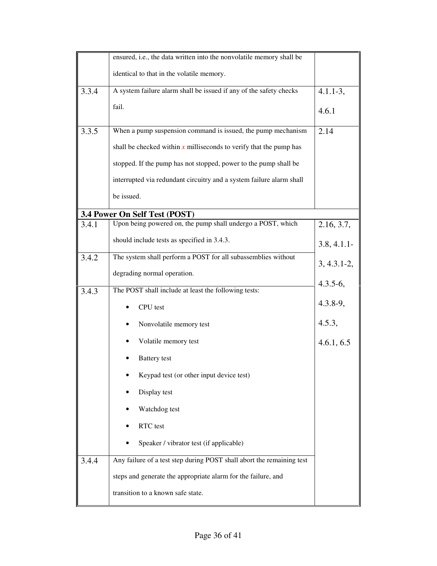|       | ensured, i.e., the data written into the nonvolatile memory shall be  |                 |
|-------|-----------------------------------------------------------------------|-----------------|
|       | identical to that in the volatile memory.                             |                 |
| 3.3.4 | A system failure alarm shall be issued if any of the safety checks    | $4.1.1 - 3,$    |
|       | fail.                                                                 | 4.6.1           |
| 3.3.5 | When a pump suspension command is issued, the pump mechanism          | 2.14            |
|       | shall be checked within $x$ milliseconds to verify that the pump has  |                 |
|       | stopped. If the pump has not stopped, power to the pump shall be      |                 |
|       | interrupted via redundant circuitry and a system failure alarm shall  |                 |
|       | be issued.                                                            |                 |
|       | 3.4 Power On Self Test (POST)                                         |                 |
| 3.4.1 | Upon being powered on, the pump shall undergo a POST, which           | 2.16, 3.7,      |
|       | should include tests as specified in 3.4.3.                           | 3.8, 4.1.1      |
| 3.4.2 | The system shall perform a POST for all subassemblies without         | $3, 4.3.1 - 2,$ |
|       | degrading normal operation.                                           | $4.3.5 - 6,$    |
| 3.4.3 | The POST shall include at least the following tests:                  |                 |
|       | CPU test                                                              | $4.3.8 - 9,$    |
|       | Nonvolatile memory test                                               | 4.5.3,          |
|       | Volatile memory test                                                  | 4.6.1, 6.5      |
|       | <b>Battery</b> test                                                   |                 |
|       | Keypad test (or other input device test)                              |                 |
|       | Display test                                                          |                 |
|       | Watchdog test                                                         |                 |
|       | RTC test                                                              |                 |
|       | Speaker / vibrator test (if applicable)                               |                 |
| 3.4.4 | Any failure of a test step during POST shall abort the remaining test |                 |
|       | steps and generate the appropriate alarm for the failure, and         |                 |
|       | transition to a known safe state.                                     |                 |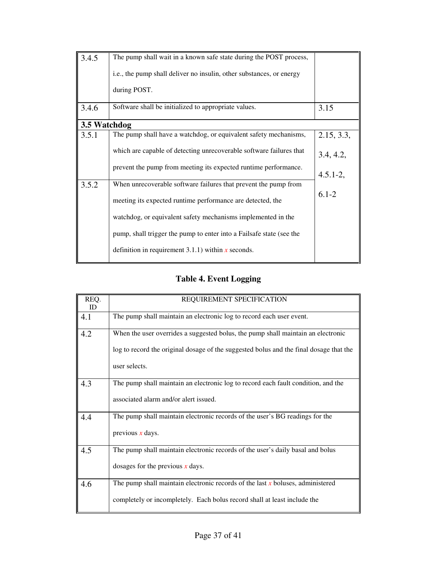| 3.4.5        | The pump shall wait in a known safe state during the POST process,   |              |
|--------------|----------------------------------------------------------------------|--------------|
|              | i.e., the pump shall deliver no insulin, other substances, or energy |              |
|              | during POST.                                                         |              |
| 3.4.6        | Software shall be initialized to appropriate values.                 | 3.15         |
| 3.5 Watchdog |                                                                      |              |
| 3.5.1        | The pump shall have a watchdog, or equivalent safety mechanisms,     | 2.15, 3.3,   |
|              | which are capable of detecting unrecoverable software failures that  | 3.4, 4.2,    |
|              | prevent the pump from meeting its expected runtime performance.      | $4.5.1 - 2,$ |
| 3.5.2        | When unrecoverable software failures that prevent the pump from      |              |
|              | meeting its expected runtime performance are detected, the           | $6.1 - 2$    |
|              | watchdog, or equivalent safety mechanisms implemented in the         |              |
|              | pump, shall trigger the pump to enter into a Failsafe state (see the |              |
|              | definition in requirement 3.1.1) within $x$ seconds.                 |              |

# **Table 4. Event Logging**

| REQ.      | REQUIREMENT SPECIFICATION                                                              |
|-----------|----------------------------------------------------------------------------------------|
| <b>ID</b> |                                                                                        |
| 4.1       | The pump shall maintain an electronic log to record each user event.                   |
|           |                                                                                        |
| 4.2       | When the user overrides a suggested bolus, the pump shall maintain an electronic       |
|           |                                                                                        |
|           | log to record the original dosage of the suggested bolus and the final dosage that the |
|           |                                                                                        |
|           | user selects.                                                                          |
|           |                                                                                        |
|           |                                                                                        |
| 4.3       | The pump shall maintain an electronic log to record each fault condition, and the      |
|           |                                                                                        |
|           | associated alarm and/or alert issued.                                                  |
|           |                                                                                        |
| 4.4       | The pump shall maintain electronic records of the user's BG readings for the           |
|           |                                                                                        |
|           | previous $x$ days.                                                                     |
|           |                                                                                        |
|           |                                                                                        |
| 4.5       | The pump shall maintain electronic records of the user's daily basal and bolus         |
|           |                                                                                        |
|           | dosages for the previous $x$ days.                                                     |
|           |                                                                                        |
| 4.6       | The pump shall maintain electronic records of the last $x$ boluses, administered       |
|           |                                                                                        |
|           | completely or incompletely. Each bolus record shall at least include the               |
|           |                                                                                        |
|           |                                                                                        |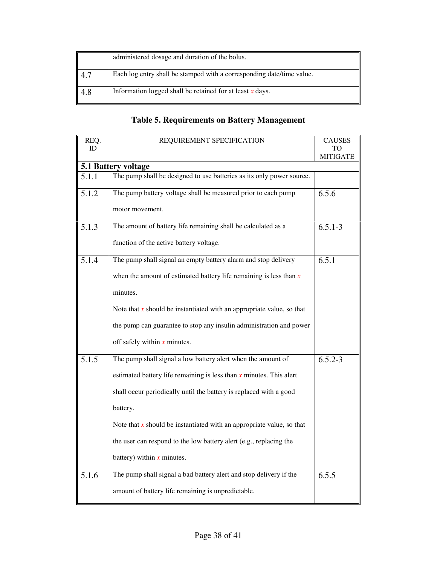|     | administered dosage and duration of the bolus.                        |
|-----|-----------------------------------------------------------------------|
|     | Each log entry shall be stamped with a corresponding date/time value. |
| 4.8 | Information logged shall be retained for at least $x$ days.           |

# **Table 5. Requirements on Battery Management**

| REQ.      | REQUIREMENT SPECIFICATION                                               | <b>CAUSES</b>   |
|-----------|-------------------------------------------------------------------------|-----------------|
| <b>ID</b> |                                                                         |                 |
|           | 5.1 Battery voltage                                                     | <b>MITIGATE</b> |
| 5.1.1     | The pump shall be designed to use batteries as its only power source.   |                 |
|           |                                                                         |                 |
| 5.1.2     | The pump battery voltage shall be measured prior to each pump           | 6.5.6           |
|           | motor movement.                                                         |                 |
| 5.1.3     | The amount of battery life remaining shall be calculated as a           | $6.5.1 - 3$     |
|           | function of the active battery voltage.                                 |                 |
| 5.1.4     | The pump shall signal an empty battery alarm and stop delivery          | 6.5.1           |
|           | when the amount of estimated battery life remaining is less than $x$    |                 |
|           | minutes.                                                                |                 |
|           | Note that $x$ should be instantiated with an appropriate value, so that |                 |
|           | the pump can guarantee to stop any insulin administration and power     |                 |
|           | off safely within $x$ minutes.                                          |                 |
| 5.1.5     | The pump shall signal a low battery alert when the amount of            | $6.5.2 - 3$     |
|           | estimated battery life remaining is less than $x$ minutes. This alert   |                 |
|           | shall occur periodically until the battery is replaced with a good      |                 |
|           | battery.                                                                |                 |
|           | Note that $x$ should be instantiated with an appropriate value, so that |                 |
|           | the user can respond to the low battery alert (e.g., replacing the      |                 |
|           | battery) within $x$ minutes.                                            |                 |
| 5.1.6     | The pump shall signal a bad battery alert and stop delivery if the      | 6.5.5           |
|           | amount of battery life remaining is unpredictable.                      |                 |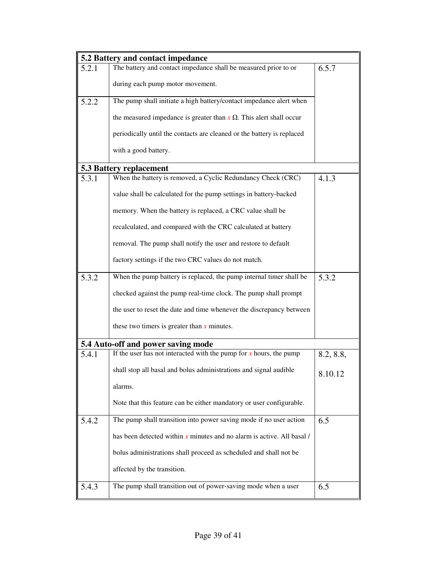|       | 5.2 Battery and contact impedance                                          |           |
|-------|----------------------------------------------------------------------------|-----------|
| 5.2.1 | The battery and contact impedance shall be measured prior to or            | 6.5.7     |
|       | during each pump motor movement.                                           |           |
| 5.2.2 | The pump shall initiate a high battery/contact impedance alert when        |           |
|       | the measured impedance is greater than $x \Omega$ . This alert shall occur |           |
|       | periodically until the contacts are cleaned or the battery is replaced     |           |
|       | with a good battery.                                                       |           |
|       | <b>5.3 Battery replacement</b>                                             |           |
| 5.3.1 | When the battery is removed, a Cyclic Redundancy Check (CRC)               | 4.1.3     |
|       | value shall be calculated for the pump settings in battery-backed          |           |
|       | memory. When the battery is replaced, a CRC value shall be                 |           |
|       | recalculated, and compared with the CRC calculated at battery              |           |
|       | removal. The pump shall notify the user and restore to default             |           |
|       | factory settings if the two CRC values do not match.                       |           |
| 5.3.2 | When the pump battery is replaced, the pump internal timer shall be        | 5.3.2     |
|       | checked against the pump real-time clock. The pump shall prompt            |           |
|       | the user to reset the date and time whenever the discrepancy between       |           |
|       | these two timers is greater than $x$ minutes.                              |           |
|       | 5.4 Auto-off and power saving mode                                         |           |
| 5.4.1 | If the user has not interacted with the pump for $x$ hours, the pump       | 8.2, 8.8, |
|       | shall stop all basal and bolus administrations and signal audible          | 8.10.12   |
|       | alarms.                                                                    |           |
|       | Note that this feature can be either mandatory or user configurable.       |           |
| 5.4.2 | The pump shall transition into power saving mode if no user action         | 6.5       |
|       | has been detected within $x$ minutes and no alarm is active. All basal /   |           |
|       | bolus administrations shall proceed as scheduled and shall not be          |           |
|       | affected by the transition.                                                |           |
| 5.4.3 | The pump shall transition out of power-saving mode when a user             | 6.5       |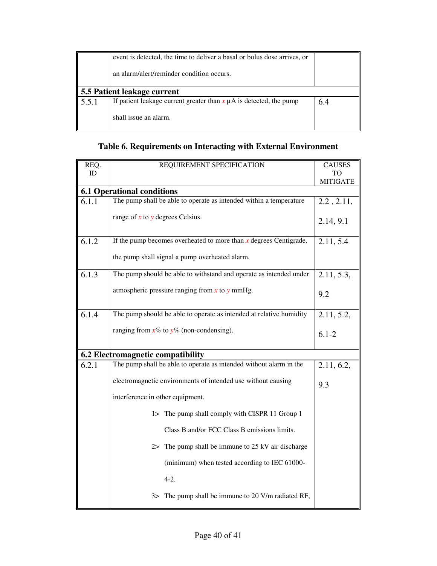|                             | event is detected, the time to deliver a basal or bolus dose arrives, or |     |
|-----------------------------|--------------------------------------------------------------------------|-----|
|                             | an alarm/alert/reminder condition occurs.                                |     |
| 5.5 Patient leakage current |                                                                          |     |
| 5.5.1                       | If patient leakage current greater than $x \mu A$ is detected, the pump  | 6.4 |
|                             | shall issue an alarm.                                                    |     |

# **Table 6. Requirements on Interacting with External Environment**

| REQ.  | REQUIREMENT SPECIFICATION                                           | <b>CAUSES</b>   |
|-------|---------------------------------------------------------------------|-----------------|
| ID    |                                                                     | TO              |
|       |                                                                     | <b>MITIGATE</b> |
|       | <b>6.1 Operational conditions</b>                                   |                 |
| 6.1.1 | The pump shall be able to operate as intended within a temperature  | 2.2, 2.11,      |
|       | range of $x$ to $y$ degrees Celsius.                                | 2.14, 9.1       |
| 6.1.2 | If the pump becomes overheated to more than $x$ degrees Centigrade, | 2.11, 5.4       |
|       | the pump shall signal a pump overheated alarm.                      |                 |
| 6.1.3 | The pump should be able to withstand and operate as intended under  | 2.11, 5.3,      |
|       | atmospheric pressure ranging from $x$ to $y$ mmHg.                  | 9.2             |
| 6.1.4 | The pump should be able to operate as intended at relative humidity | 2.11, 5.2,      |
|       | ranging from $x\%$ to $y\%$ (non-condensing).                       | $6.1 - 2$       |
|       | 6.2 Electromagnetic compatibility                                   |                 |
| 6.2.1 | The pump shall be able to operate as intended without alarm in the  | 2.11, 6.2,      |
|       | electromagnetic environments of intended use without causing        | 9.3             |
|       | interference in other equipment.                                    |                 |
|       | The pump shall comply with CISPR 11 Group 1<br>$1\geq$              |                 |
|       | Class B and/or FCC Class B emissions limits.                        |                 |
|       | 2> The pump shall be immune to $25 \text{ kV}$ air discharge        |                 |
|       | (minimum) when tested according to IEC 61000-                       |                 |
|       | $4-2.$                                                              |                 |
|       | 3> The pump shall be immune to 20 V/m radiated RF,                  |                 |